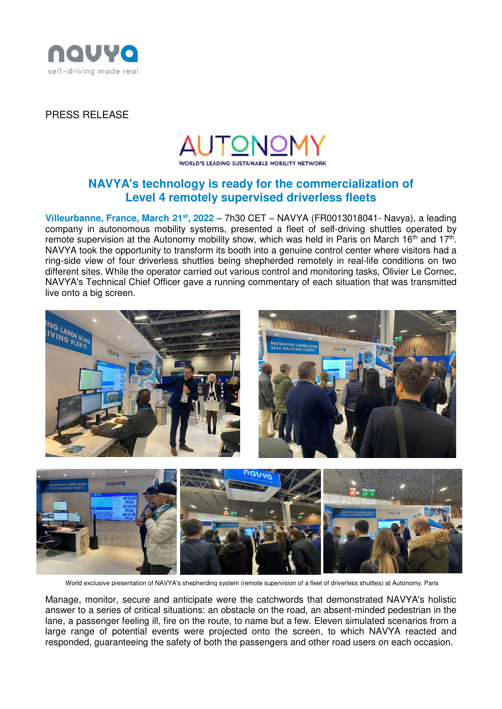

### PRESS RELEASE



# **NAVYA's technology is ready for the commercialization of Level 4 remotely supervised driverless fleets**

**Villeurbanne, France, March 21st, 2022** – 7h30 CET – NAVYA (FR0013018041- Navya), a leading company in autonomous mobility systems, presented a fleet of self-driving shuttles operated by remote supervision at the Autonomy mobility show, which was held in Paris on March 16<sup>th</sup> and 17<sup>th</sup>. NAVYA took the opportunity to transform its booth into a genuine control center where visitors had a ring-side view of four driverless shuttles being shepherded remotely in real-life conditions on two different sites. While the operator carried out various control and monitoring tasks, Olivier Le Cornec, NAVYA's Technical Chief Officer gave a running commentary of each situation that was transmitted live onto a big screen.



World exclusive presentation of NAVYA's shepherding system (remote supervision of a fleet of driverless shuttles) at Autonomy, Paris

Manage, monitor, secure and anticipate were the catchwords that demonstrated NAVYA's holistic answer to a series of critical situations: an obstacle on the road, an absent-minded pedestrian in the lane, a passenger feeling ill, fire on the route, to name but a few. Eleven simulated scenarios from a large range of potential events were projected onto the screen, to which NAVYA reacted and responded, guaranteeing the safety of both the passengers and other road users on each occasion.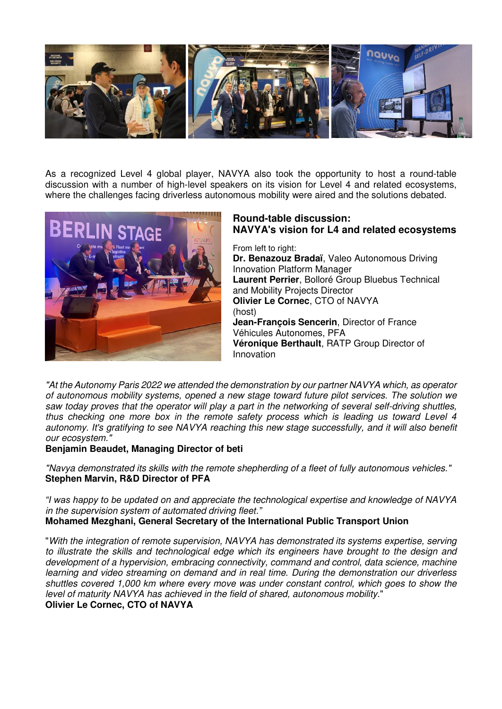

As a recognized Level 4 global player, NAVYA also took the opportunity to host a round-table discussion with a number of high-level speakers on its vision for Level 4 and related ecosystems, where the challenges facing driverless autonomous mobility were aired and the solutions debated.



## **Round-table discussion: NAVYA's vision for L4 and related ecosystems**

From left to right: **Dr. Benazouz Bradaï**, Valeo Autonomous Driving Innovation Platform Manager **Laurent Perrier**, Bolloré Group Bluebus Technical and Mobility Projects Director **Olivier Le Cornec**, CTO of NAVYA (host) **Jean-François Sencerin**, Director of France Véhicules Autonomes, PFA **Véronique Berthault**, RATP Group Director of Innovation

*"At the Autonomy Paris 2022 we attended the demonstration by our partner NAVYA which, as operator of autonomous mobility systems, opened a new stage toward future pilot services. The solution we saw today proves that the operator will play a part in the networking of several self-driving shuttles, thus checking one more box in the remote safety process which is leading us toward Level 4 autonomy. It's gratifying to see NAVYA reaching this new stage successfully, and it will also benefit our ecosystem."* 

### **Benjamin Beaudet, Managing Director of beti**

*"Navya demonstrated its skills with the remote shepherding of a fleet of fully autonomous vehicles."*  **Stephen Marvin, R&D Director of PFA** 

*"I was happy to be updated on and appreciate the technological expertise and knowledge of NAVYA in the supervision system of automated driving fleet."* **Mohamed Mezghani, General Secretary of the International Public Transport Union** 

"*With the integration of remote supervision, NAVYA has demonstrated its systems expertise, serving to illustrate the skills and technological edge which its engineers have brought to the design and development of a hypervision, embracing connectivity, command and control, data science, machine learning and video streaming on demand and in real time. During the demonstration our driverless shuttles covered 1,000 km where every move was under constant control, which goes to show the level of maturity NAVYA has achieved in the field of shared, autonomous mobility*." **Olivier Le Cornec, CTO of NAVYA**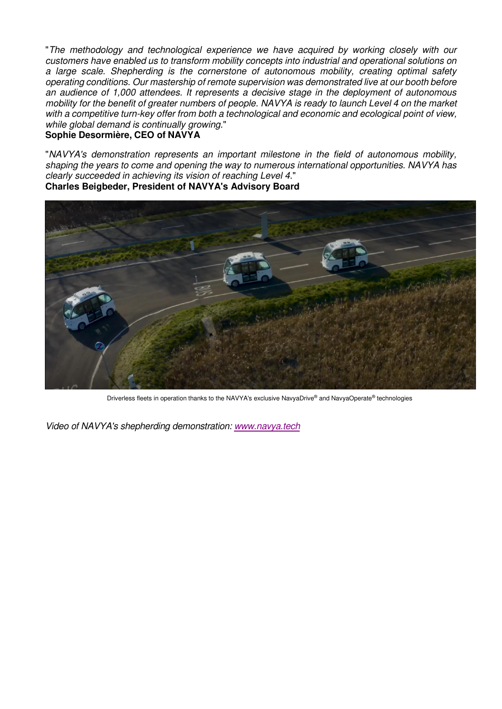"*The methodology and technological experience we have acquired by working closely with our customers have enabled us to transform mobility concepts into industrial and operational solutions on a large scale. Shepherding is the cornerstone of autonomous mobility, creating optimal safety operating conditions. Our mastership of remote supervision was demonstrated live at our booth before an audience of 1,000 attendees. It represents a decisive stage in the deployment of autonomous mobility for the benefit of greater numbers of people. NAVYA is ready to launch Level 4 on the market with a competitive turn-key offer from both a technological and economic and ecological point of view, while global demand is continually growing*." **Sophie Desormière, CEO of NAVYA** 

"*NAVYA's demonstration represents an important milestone in the field of autonomous mobility, shaping the years to come and opening the way to numerous international opportunities. NAVYA has clearly succeeded in achieving its vision of reaching Level 4*." **Charles Beigbeder, President of NAVYA's Advisory Board** 



Driverless fleets in operation thanks to the NAVYA's exclusive NavyaDrive® and NavyaOperate® technologies

*Video of NAVYA's shepherding demonstration: [www.navya.tech](http://www.navya.tech/)*